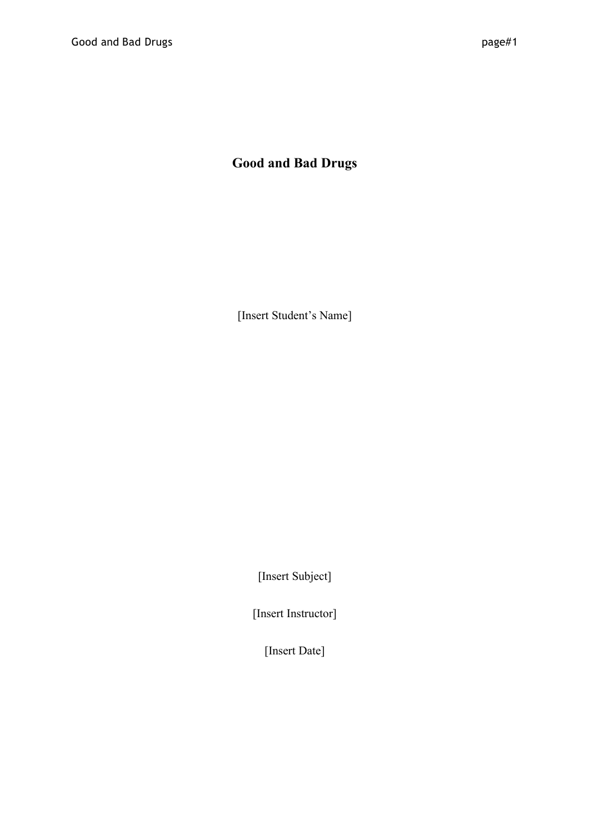## **Good and Bad Drugs**

[Insert Student's Name]

[Insert Subject]

[Insert Instructor]

[Insert Date]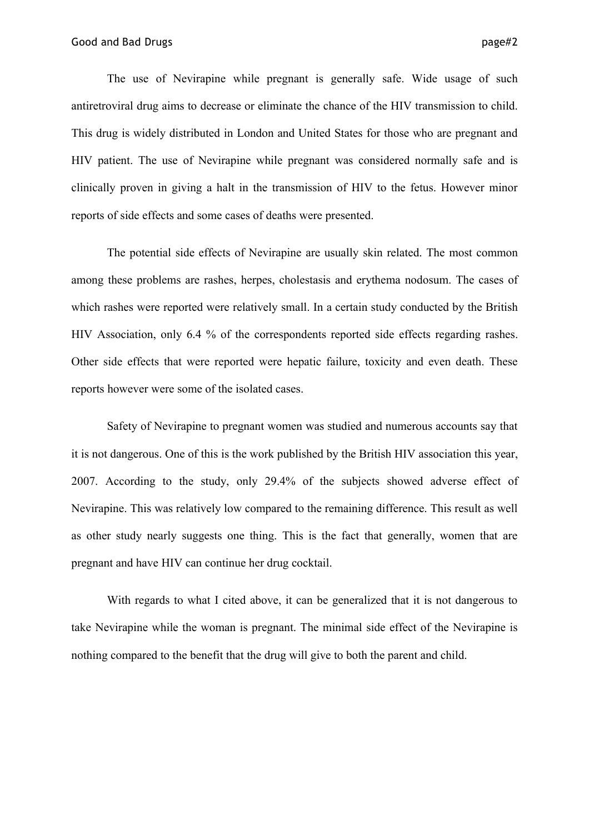antiretroviral drug aims to decrease or eliminate the chance of the HIV transmission to child. This drug is widely distributed in London and United States for those who are pregnant and HIV patient. The use of Nevirapine while pregnant was considered normally safe and is clinically proven in giving a halt in the transmission of HIV to the fetus. However minor reports of side effects and some cases of deaths were presented.

The potential side effects of Nevirapine are usually skin related. The most common among these problems are rashes, herpes, cholestasis and erythema nodosum. The cases of which rashes were reported were relatively small. In a certain study conducted by the British HIV Association, only 6.4 % of the correspondents reported side effects regarding rashes. Other side effects that were reported were hepatic failure, toxicity and even death. These reports however were some of the isolated cases.

Safety of Nevirapine to pregnant women was studied and numerous accounts say that it is not dangerous. One of this is the work published by the British HIV association this year, 2007. According to the study, only 29.4% of the subjects showed adverse effect of Nevirapine. This was relatively low compared to the remaining difference. This result as well as other study nearly suggests one thing. This is the fact that generally, women that are pregnant and have HIV can continue her drug cocktail.

With regards to what I cited above, it can be generalized that it is not dangerous to take Nevirapine while the woman is pregnant. The minimal side effect of the Nevirapine is nothing compared to the benefit that the drug will give to both the parent and child.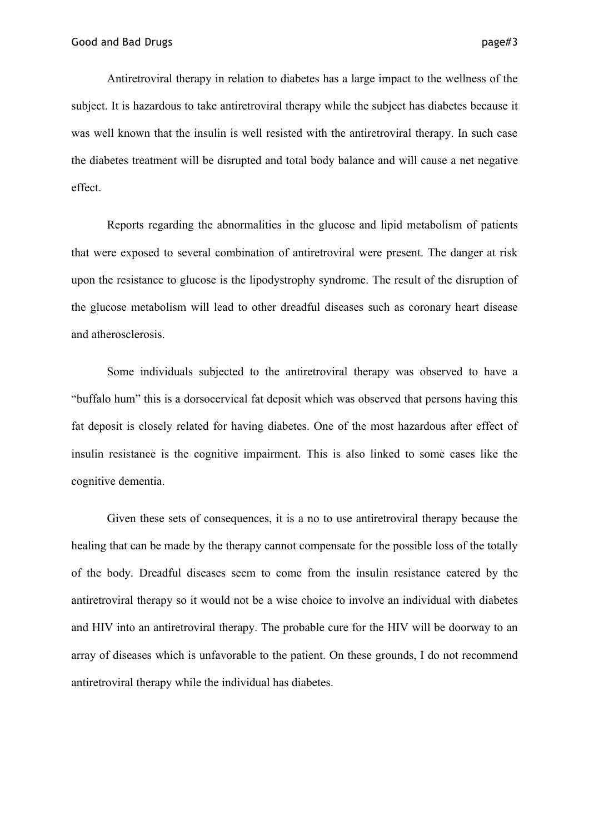Antiretroviral therapy in relation to diabetes has a large impact to the wellness of the subject. It is hazardous to take antiretroviral therapy while the subject has diabetes because it was well known that the insulin is well resisted with the antiretroviral therapy. In such case the diabetes treatment will be disrupted and total body balance and will cause a net negative effect.

Reports regarding the abnormalities in the glucose and lipid metabolism of patients that were exposed to several combination of antiretroviral were present. The danger at risk upon the resistance to glucose is the lipodystrophy syndrome. The result of the disruption of the glucose metabolism will lead to other dreadful diseases such as coronary heart disease and atherosclerosis.

Some individuals subjected to the antiretroviral therapy was observed to have a "buffalo hum" this is a dorsocervical fat deposit which was observed that persons having this fat deposit is closely related for having diabetes. One of the most hazardous after effect of insulin resistance is the cognitive impairment. This is also linked to some cases like the cognitive dementia.

Given these sets of consequences, it is a no to use antiretroviral therapy because the healing that can be made by the therapy cannot compensate for the possible loss of the totally of the body. Dreadful diseases seem to come from the insulin resistance catered by the antiretroviral therapy so it would not be a wise choice to involve an individual with diabetes and HIV into an antiretroviral therapy. The probable cure for the HIV will be doorway to an array of diseases which is unfavorable to the patient. On these grounds, I do not recommend antiretroviral therapy while the individual has diabetes.